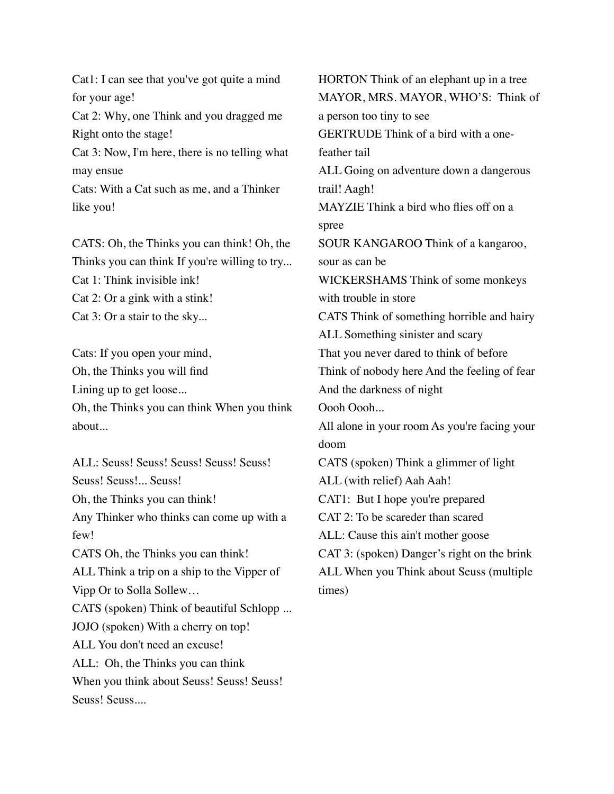Cat1: I can see that you've got quite a mind for your age! Cat 2: Why, one Think and you dragged me Right onto the stage! Cat 3: Now, I'm here, there is no telling what may ensue Cats: With a Cat such as me, and a Thinker like you!

CATS: Oh, the Thinks you can think! Oh, the Thinks you can think If you're willing to try... Cat 1: Think invisible ink! Cat 2: Or a gink with a stink! Cat 3: Or a stair to the sky...

Cats: If you open your mind, Oh, the Thinks you will find Lining up to get loose... Oh, the Thinks you can think When you think about...

ALL: Seuss! Seuss! Seuss! Seuss! Seuss! Seuss! Seuss!... Seuss! Oh, the Thinks you can think! Any Thinker who thinks can come up with a few! CATS Oh, the Thinks you can think! ALL Think a trip on a ship to the Vipper of Vipp Or to Solla Sollew… CATS (spoken) Think of beautiful Schlopp ... JOJO (spoken) With a cherry on top! ALL You don't need an excuse! ALL: Oh, the Thinks you can think When you think about Seuss! Seuss! Seuss! Seuss! Seuss....

HORTON Think of an elephant up in a tree MAYOR, MRS. MAYOR, WHO'S: Think of a person too tiny to see GERTRUDE Think of a bird with a onefeather tail ALL Going on adventure down a dangerous trail! Aagh! MAYZIE Think a bird who flies off on a spree SOUR KANGAROO Think of a kangaroo, sour as can be WICKERSHAMS Think of some monkeys with trouble in store CATS Think of something horrible and hairy ALL Something sinister and scary That you never dared to think of before Think of nobody here And the feeling of fear And the darkness of night Oooh Oooh... All alone in your room As you're facing your doom CATS (spoken) Think a glimmer of light ALL (with relief) Aah Aah! CAT1: But I hope you're prepared CAT 2: To be scareder than scared ALL: Cause this ain't mother goose CAT 3: (spoken) Danger's right on the brink ALL When you Think about Seuss (multiple times)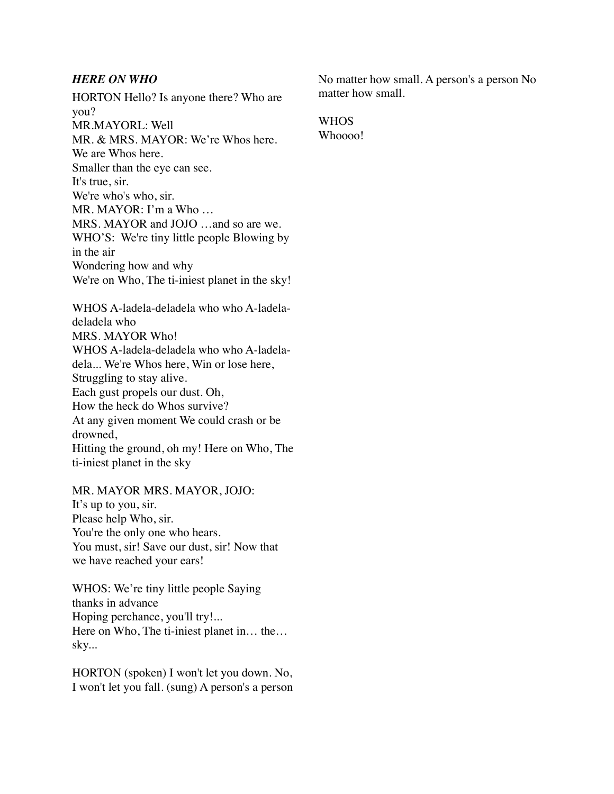## *HERE ON WHO*

HORTON Hello? Is anyone there? Who are you? MR.MAYORL: Well MR. & MRS. MAYOR: We're Whos here. We are Whos here. Smaller than the eye can see. It's true, sir. We're who's who, sir. MR. MAYOR: I'm a Who … MRS. MAYOR and JOJO …and so are we. WHO'S: We're tiny little people Blowing by in the air Wondering how and why We're on Who, The ti-iniest planet in the sky!

WHOS A-ladela-deladela who who A-ladeladeladela who MRS. MAYOR Who! WHOS A-ladela-deladela who who A-ladeladela... We're Whos here, Win or lose here, Struggling to stay alive. Each gust propels our dust. Oh, How the heck do Whos survive? At any given moment We could crash or be drowned, Hitting the ground, oh my! Here on Who, The ti-iniest planet in the sky

MR. MAYOR MRS. MAYOR, JOJO: It's up to you, sir. Please help Who, sir. You're the only one who hears. You must, sir! Save our dust, sir! Now that we have reached your ears!

WHOS: We're tiny little people Saying thanks in advance Hoping perchance, you'll try!... Here on Who, The ti-iniest planet in… the… sky...

HORTON (spoken) I won't let you down. No, I won't let you fall. (sung) A person's a person No matter how small. A person's a person No matter how small.

**WHOS** Whoooo!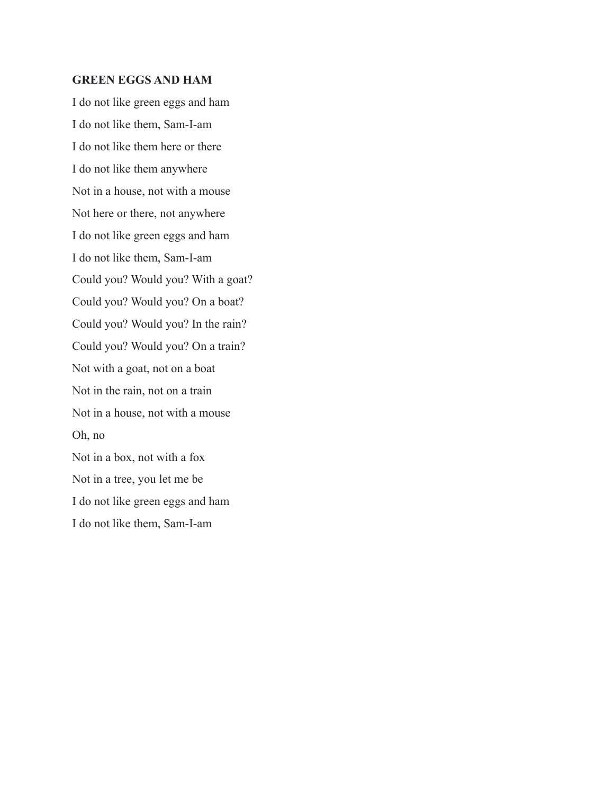## **GREEN EGGS AND HAM**

I do not like green eggs and ham I do not like them, Sam-I-am I do not like them here or there I do not like them anywhere Not in a house, not with a mouse Not here or there, not anywhere I do not like green eggs and ham I do not like them, Sam-I-am Could you? Would you? With a goat? Could you? Would you? On a boat? Could you? Would you? In the rain? Could you? Would you? On a train? Not with a goat, not on a boat Not in the rain, not on a train Not in a house, not with a mouse Oh, no Not in a box, not with a fox Not in a tree, you let me be I do not like green eggs and ham I do not like them, Sam-I-am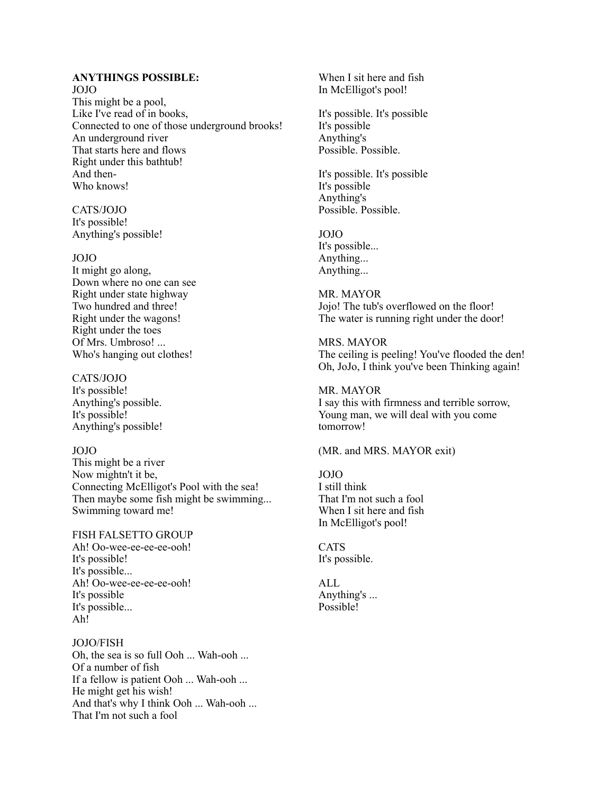#### **ANYTHINGS POSSIBLE:** JOJO

This might be a pool, Like I've read of in books, Connected to one of those underground brooks! An underground river That starts here and flows Right under this bathtub! And then-Who knows!

# CATS/JOJO

It's possible! Anything's possible!

#### JOJO

It might go along, Down where no one can see Right under state highway Two hundred and three! Right under the wagons! Right under the toes Of Mrs. Umbroso! ... Who's hanging out clothes!

CATS/JOJO It's possible! Anything's possible. It's possible!

Anything's possible!

JOJO

This might be a river Now mightn't it be, Connecting McElligot's Pool with the sea! Then maybe some fish might be swimming... Swimming toward me!

### FISH FALSETTO GROUP

Ah! Oo-wee-ee-ee-ee-ooh! It's possible! It's possible... Ah! Oo-wee-ee-ee-ee-ooh! It's possible It's possible... Ah!

JOJO/FISH Oh, the sea is so full Ooh ... Wah-ooh ... Of a number of fish If a fellow is patient Ooh ... Wah-ooh ... He might get his wish! And that's why I think Ooh ... Wah-ooh ... That I'm not such a fool

When I sit here and fish In McElligot's pool!

It's possible. It's possible It's possible Anything's Possible. Possible.

It's possible. It's possible It's possible Anything's Possible. Possible.

JOJO It's possible... Anything... Anything...

MR. MAYOR Jojo! The tub's overflowed on the floor! The water is running right under the door!

MRS. MAYOR The ceiling is peeling! You've flooded the den! Oh, JoJo, I think you've been Thinking again!

MR. MAYOR I say this with firmness and terrible sorrow, Young man, we will deal with you come tomorrow!

(MR. and MRS. MAYOR exit)

JOJO I still think That I'm not such a fool When I sit here and fish In McElligot's pool!

CATS It's possible.

ALL Anything's ... Possible!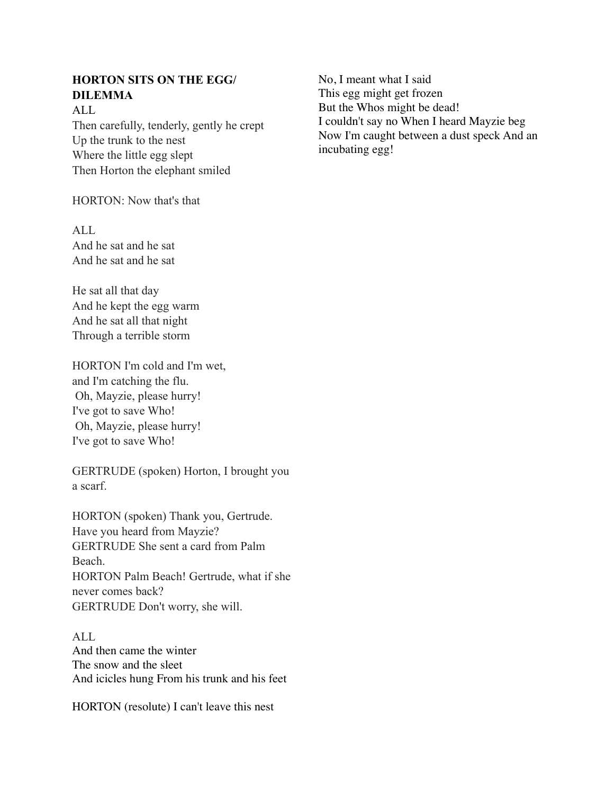# **HORTON SITS ON THE EGG/ DILEMMA**

ALL Then carefully, tenderly, gently he crept Up the trunk to the nest Where the little egg slept Then Horton the elephant smiled

HORTON: Now that's that

ALL And he sat and he sat And he sat and he sat

He sat all that day And he kept the egg warm And he sat all that night Through a terrible storm

HORTON I'm cold and I'm wet, and I'm catching the flu. Oh, Mayzie, please hurry! I've got to save Who! Oh, Mayzie, please hurry! I've got to save Who!

GERTRUDE (spoken) Horton, I brought you a scarf.

HORTON (spoken) Thank you, Gertrude. Have you heard from Mayzie? GERTRUDE She sent a card from Palm Beach. HORTON Palm Beach! Gertrude, what if she never comes back? GERTRUDE Don't worry, she will.

ALL And then came the winter The snow and the sleet And icicles hung From his trunk and his feet

HORTON (resolute) I can't leave this nest

No, I meant what I said This egg might get frozen But the Whos might be dead! I couldn't say no When I heard Mayzie beg Now I'm caught between a dust speck And an incubating egg!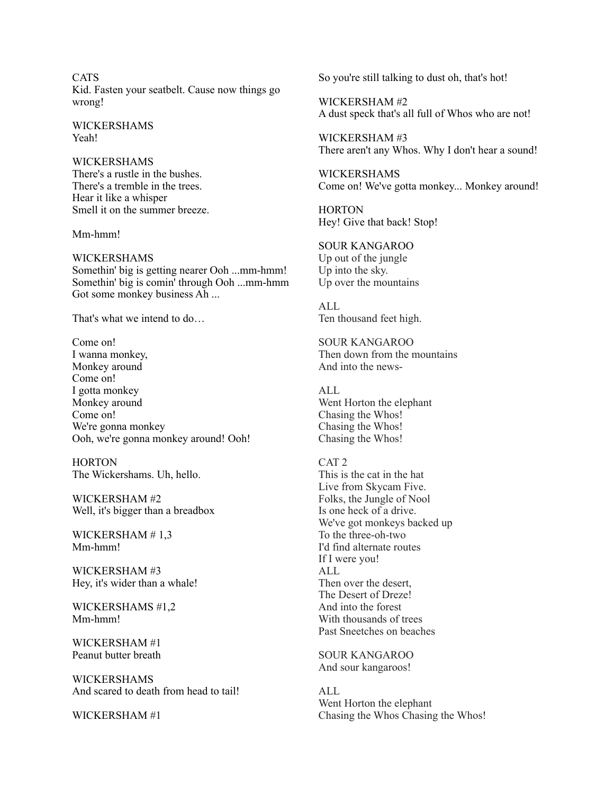**CATS** Kid. Fasten your seatbelt. Cause now things go wrong!

WICKERSHAMS Yeah!

WICKERSHAMS There's a rustle in the bushes. There's a tremble in the trees. Hear it like a whisper Smell it on the summer breeze.

Mm-hmm!

#### WICKERSHAMS

Somethin' big is getting nearer Ooh ...mm-hmm! Somethin' big is comin' through Ooh ...mm-hmm Got some monkey business Ah ...

That's what we intend to do…

Come on! I wanna monkey, Monkey around Come on! I gotta monkey Monkey around Come on! We're gonna monkey Ooh, we're gonna monkey around! Ooh!

**HORTON** The Wickershams. Uh, hello.

WICKERSHAM #2 Well, it's bigger than a breadbox

WICKERSHAM # 1,3 Mm-hmm!

WICKERSHAM #3 Hey, it's wider than a whale!

WICKERSHAMS #1,2 Mm-hmm!

WICKERSHAM #1 Peanut butter breath

WICKERSHAMS And scared to death from head to tail!

WICKERSHAM #1

So you're still talking to dust oh, that's hot!

WICKERSHAM #2 A dust speck that's all full of Whos who are not!

WICKERSHAM #3 There aren't any Whos. Why I don't hear a sound!

WICKERSHAMS Come on! We've gotta monkey... Monkey around!

**HORTON** Hey! Give that back! Stop!

SOUR KANGAROO Up out of the jungle Up into the sky. Up over the mountains

ALL Ten thousand feet high.

SOUR KANGAROO Then down from the mountains And into the news-

ALL Went Horton the elephant Chasing the Whos! Chasing the Whos! Chasing the Whos!

CAT 2 This is the cat in the hat Live from Skycam Five. Folks, the Jungle of Nool Is one heck of a drive. We've got monkeys backed up To the three-oh-two I'd find alternate routes If I were you! ALL Then over the desert, The Desert of Dreze! And into the forest With thousands of trees Past Sneetches on beaches

SOUR KANGAROO And sour kangaroos!

ALL Went Horton the elephant Chasing the Whos Chasing the Whos!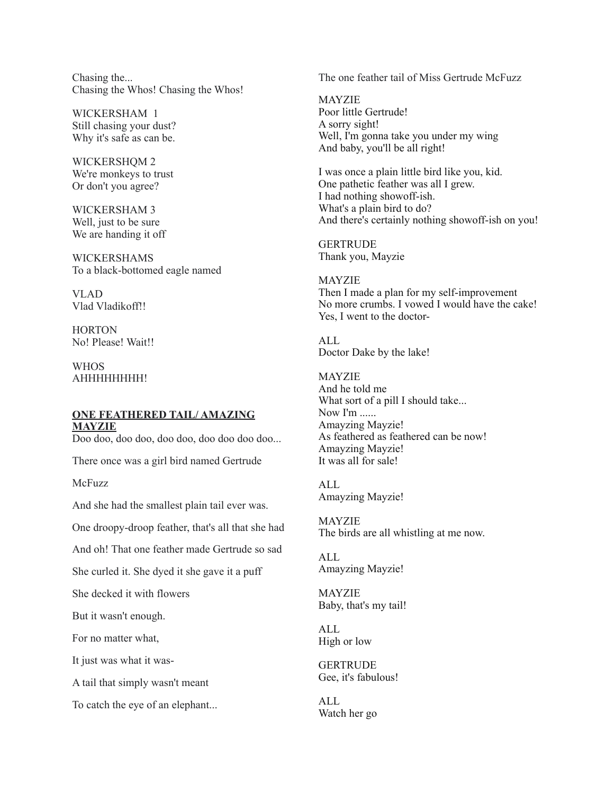Chasing the... Chasing the Whos! Chasing the Whos!

WICKERSHAM 1 Still chasing your dust? Why it's safe as can be.

WICKERSHOM 2 We're monkeys to trust Or don't you agree?

WICKERSHAM 3 Well, just to be sure We are handing it off

WICKERSHAMS To a black-bottomed eagle named

VLAD Vlad Vladikoff!!

**HORTON** No! Please! Wait!!

**WHOS** AHHHHHHHH!

#### **ONE FEATHERED TAIL/ AMAZING MAYZIE**

Doo doo, doo doo, doo doo, doo doo doo doo...

There once was a girl bird named Gertrude

**McFuzz** 

And she had the smallest plain tail ever was.

One droopy-droop feather, that's all that she had

And oh! That one feather made Gertrude so sad

She curled it. She dyed it she gave it a puff

She decked it with flowers

But it wasn't enough.

For no matter what,

It just was what it was-

A tail that simply wasn't meant

To catch the eye of an elephant...

The one feather tail of Miss Gertrude McFuzz

MAYZIE Poor little Gertrude! A sorry sight! Well, I'm gonna take you under my wing And baby, you'll be all right!

I was once a plain little bird like you, kid. One pathetic feather was all I grew. I had nothing showoff-ish. What's a plain bird to do? And there's certainly nothing showoff-ish on you!

**GERTRUDE** Thank you, Mayzie

MAYZIE Then I made a plan for my self-improvement No more crumbs. I vowed I would have the cake! Yes, I went to the doctor-

ALL Doctor Dake by the lake!

**MAYZIE** And he told me What sort of a pill I should take... Now I'm ...... Amayzing Mayzie! As feathered as feathered can be now! Amayzing Mayzie! It was all for sale!

ALL Amayzing Mayzie!

MAYZIE The birds are all whistling at me now.

ALL Amayzing Mayzie!

**MAYZIE** Baby, that's my tail!

ALL High or low

**GERTRUDE** Gee, it's fabulous!

ALL Watch her go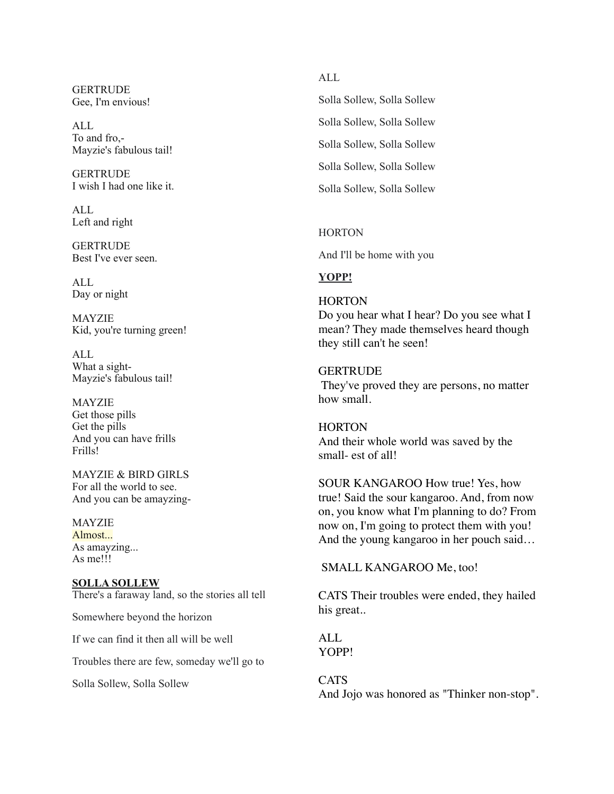**GERTRUDE** Gee, I'm envious!

ALL To and fro,- Mayzie's fabulous tail!

**GERTRUDE** I wish I had one like it.

ALL Left and right

**GERTRUDE** Best I've ever seen.

ALL Day or night

**MAYZIE** Kid, you're turning green!

ALL What a sight-Mayzie's fabulous tail!

MAYZIE Get those pills Get the pills And you can have frills Frills!

MAYZIE & BIRD GIRLS For all the world to see. And you can be amayzing-

MAYZIE Almost... As amayzing...

As me!!!

#### **SOLLA SOLLEW**

There's a faraway land, so the stories all tell

Somewhere beyond the horizon

If we can find it then all will be well

Troubles there are few, someday we'll go to

Solla Sollew, Solla Sollew

## ALL

Solla Sollew, Solla Sollew Solla Sollew, Solla Sollew Solla Sollew, Solla Sollew Solla Sollew, Solla Sollew Solla Sollew, Solla Sollew

#### **HORTON**

And I'll be home with you

#### **YOPP!**

#### **HORTON**

Do you hear what I hear? Do you see what I mean? They made themselves heard though they still can't he seen!

### **GERTRUDE**

 They've proved they are persons, no matter how small.

**HORTON** And their whole world was saved by the small- est of all!

SOUR KANGAROO How true! Yes, how true! Said the sour kangaroo. And, from now on, you know what I'm planning to do? From now on, I'm going to protect them with you! And the young kangaroo in her pouch said…

SMALL KANGAROO Me, too!

CATS Their troubles were ended, they hailed his great..

ALL YOPP!

CATS And Jojo was honored as "Thinker non-stop".